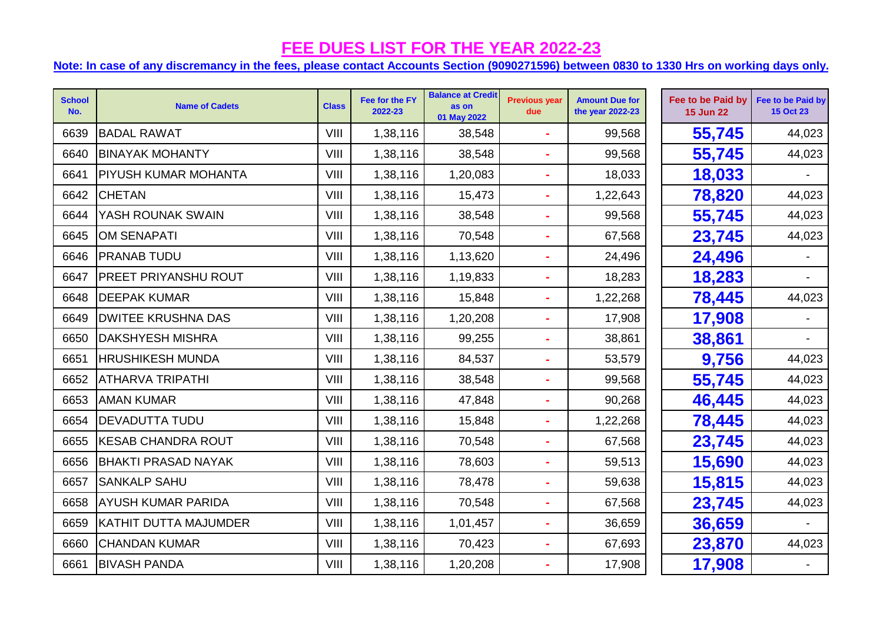| <b>School</b><br>No. | <b>Name of Cadets</b>        | <b>Class</b> | Fee for the FY<br>2022-23 | <b>Balance at Credit</b><br>as on<br>01 May 2022 | <b>Previous year</b><br>due | <b>Amount Due for</b><br>the year 2022-23 | Fee to be Paid by<br><b>15 Jun 22</b> | Fee to be Paid by<br><b>15 Oct 23</b> |
|----------------------|------------------------------|--------------|---------------------------|--------------------------------------------------|-----------------------------|-------------------------------------------|---------------------------------------|---------------------------------------|
| 6639                 | <b>BADAL RAWAT</b>           | VIII         | 1,38,116                  | 38,548                                           | $\sim$                      | 99,568                                    | 55,745                                | 44,023                                |
| 6640                 | <b>BINAYAK MOHANTY</b>       | VIII         | 1,38,116                  | 38,548                                           | $\blacksquare$              | 99,568                                    | 55,745                                | 44,023                                |
| 6641                 | PIYUSH KUMAR MOHANTA         | VIII         | 1,38,116                  | 1,20,083                                         | $\blacksquare$              | 18,033                                    | 18,033                                |                                       |
| 6642                 | <b>CHETAN</b>                | VIII         | 1,38,116                  | 15,473                                           | $\blacksquare$              | 1,22,643                                  | 78,820                                | 44,023                                |
| 6644                 | YASH ROUNAK SWAIN            | VIII         | 1,38,116                  | 38,548                                           | $\blacksquare$              | 99,568                                    | 55,745                                | 44,023                                |
| 6645                 | <b>OM SENAPATI</b>           | VIII         | 1,38,116                  | 70,548                                           | $\mathbf{r}$                | 67,568                                    | 23,745                                | 44,023                                |
| 6646                 | <b>PRANAB TUDU</b>           | VIII         | 1,38,116                  | 1,13,620                                         | $\blacksquare$              | 24,496                                    | 24,496                                |                                       |
| 6647                 | <b>PREET PRIYANSHU ROUT</b>  | VIII         | 1,38,116                  | 1,19,833                                         |                             | 18,283                                    | 18,283                                |                                       |
| 6648                 | <b>DEEPAK KUMAR</b>          | VIII         | 1,38,116                  | 15,848                                           | $\blacksquare$              | 1,22,268                                  | 78,445                                | 44,023                                |
| 6649                 | <b>DWITEE KRUSHNA DAS</b>    | VIII         | 1,38,116                  | 1,20,208                                         | $\blacksquare$              | 17,908                                    | 17,908                                |                                       |
| 6650                 | <b>DAKSHYESH MISHRA</b>      | VIII         | 1,38,116                  | 99,255                                           | $\mathbf{r}$                | 38,861                                    | 38,861                                | $\blacksquare$                        |
| 6651                 | <b>HRUSHIKESH MUNDA</b>      | VIII         | 1,38,116                  | 84,537                                           | $\blacksquare$              | 53,579                                    | 9,756                                 | 44,023                                |
| 6652                 | <b>ATHARVA TRIPATHI</b>      | VIII         | 1,38,116                  | 38,548                                           | $\blacksquare$              | 99,568                                    | 55,745                                | 44,023                                |
| 6653                 | <b>AMAN KUMAR</b>            | VIII         | 1,38,116                  | 47,848                                           | ä,                          | 90,268                                    | 46,445                                | 44,023                                |
| 6654                 | <b>DEVADUTTA TUDU</b>        | VIII         | 1,38,116                  | 15,848                                           |                             | 1,22,268                                  | 78,445                                | 44,023                                |
| 6655                 | <b>KESAB CHANDRA ROUT</b>    | VIII         | 1,38,116                  | 70,548                                           | $\blacksquare$              | 67,568                                    | 23,745                                | 44,023                                |
| 6656                 | <b>BHAKTI PRASAD NAYAK</b>   | VIII         | 1,38,116                  | 78,603                                           | $\blacksquare$              | 59,513                                    | 15,690                                | 44,023                                |
| 6657                 | <b>SANKALP SAHU</b>          | VIII         | 1,38,116                  | 78,478                                           | $\blacksquare$              | 59,638                                    | 15,815                                | 44,023                                |
| 6658                 | <b>AYUSH KUMAR PARIDA</b>    | VIII         | 1,38,116                  | 70,548                                           | $\blacksquare$              | 67,568                                    | 23,745                                | 44,023                                |
| 6659                 | <b>KATHIT DUTTA MAJUMDER</b> | VIII         | 1,38,116                  | 1,01,457                                         | $\blacksquare$              | 36,659                                    | 36,659                                |                                       |
| 6660                 | <b>CHANDAN KUMAR</b>         | VIII         | 1,38,116                  | 70,423                                           | $\blacksquare$              | 67,693                                    | 23,870                                | 44,023                                |
| 6661                 | <b>BIVASH PANDA</b>          | VIII         | 1,38,116                  | 1,20,208                                         |                             | 17,908                                    | 17,908                                |                                       |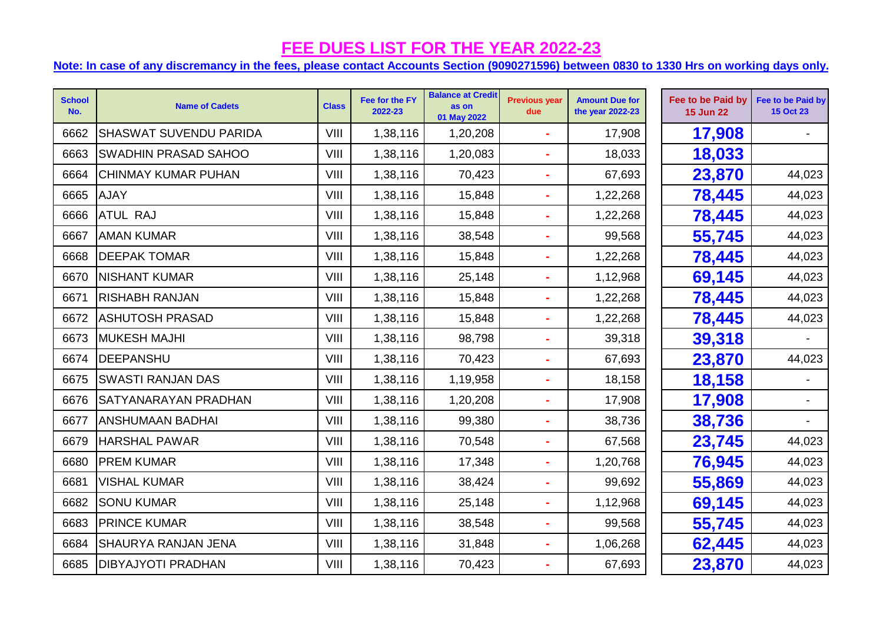| <b>School</b><br>No. | <b>Name of Cadets</b>         | <b>Class</b> | Fee for the FY<br>2022-23 | <b>Balance at Credit</b><br>as on<br>01 May 2022 | <b>Previous year</b><br>due | <b>Amount Due for</b><br>the year 2022-23 | Fee to be Paid by<br><b>15 Jun 22</b> | Fee to be Paid by<br><b>15 Oct 23</b> |
|----------------------|-------------------------------|--------------|---------------------------|--------------------------------------------------|-----------------------------|-------------------------------------------|---------------------------------------|---------------------------------------|
| 6662                 | <b>SHASWAT SUVENDU PARIDA</b> | VIII         | 1,38,116                  | 1,20,208                                         |                             | 17,908                                    | 17,908                                |                                       |
| 6663                 | <b>SWADHIN PRASAD SAHOO</b>   | VIII         | 1,38,116                  | 1,20,083                                         |                             | 18,033                                    | 18,033                                |                                       |
| 6664                 | <b>CHINMAY KUMAR PUHAN</b>    | VIII         | 1,38,116                  | 70,423                                           | $\blacksquare$              | 67,693                                    | 23,870                                | 44,023                                |
| 6665                 | <b>AJAY</b>                   | VIII         | 1,38,116                  | 15,848                                           |                             | 1,22,268                                  | 78,445                                | 44,023                                |
| 6666                 | <b>ATUL RAJ</b>               | VIII         | 1,38,116                  | 15,848                                           |                             | 1,22,268                                  | 78,445                                | 44,023                                |
| 6667                 | <b>AMAN KUMAR</b>             | VIII         | 1,38,116                  | 38,548                                           |                             | 99,568                                    | 55,745                                | 44,023                                |
| 6668                 | <b>DEEPAK TOMAR</b>           | VIII         | 1,38,116                  | 15,848                                           |                             | 1,22,268                                  | 78,445                                | 44,023                                |
| 6670                 | <b>NISHANT KUMAR</b>          | VIII         | 1,38,116                  | 25,148                                           |                             | 1,12,968                                  | 69,145                                | 44,023                                |
| 6671                 | <b>RISHABH RANJAN</b>         | VIII         | 1,38,116                  | 15,848                                           |                             | 1,22,268                                  | 78,445                                | 44,023                                |
| 6672                 | <b>ASHUTOSH PRASAD</b>        | VIII         | 1,38,116                  | 15,848                                           |                             | 1,22,268                                  | 78,445                                | 44,023                                |
| 6673                 | <b>MUKESH MAJHI</b>           | VIII         | 1,38,116                  | 98,798                                           |                             | 39,318                                    | 39,318                                |                                       |
| 6674                 | DEEPANSHU                     | VIII         | 1,38,116                  | 70,423                                           | ÷                           | 67,693                                    | 23,870                                | 44,023                                |
| 6675                 | <b>SWASTI RANJAN DAS</b>      | VIII         | 1,38,116                  | 1,19,958                                         |                             | 18,158                                    | 18,158                                |                                       |
| 6676                 | <b>SATYANARAYAN PRADHAN</b>   | VIII         | 1,38,116                  | 1,20,208                                         |                             | 17,908                                    | 17,908                                |                                       |
| 6677                 | ANSHUMAAN BADHAI              | VIII         | 1,38,116                  | 99,380                                           |                             | 38,736                                    | 38,736                                |                                       |
| 6679                 | <b>HARSHAL PAWAR</b>          | VIII         | 1,38,116                  | 70,548                                           |                             | 67,568                                    | 23,745                                | 44,023                                |
| 6680                 | <b>PREM KUMAR</b>             | VIII         | 1,38,116                  | 17,348                                           |                             | 1,20,768                                  | 76,945                                | 44,023                                |
| 6681                 | <b>VISHAL KUMAR</b>           | VIII         | 1,38,116                  | 38,424                                           |                             | 99,692                                    | 55,869                                | 44,023                                |
| 6682                 | <b>SONU KUMAR</b>             | VIII         | 1,38,116                  | 25,148                                           | ä,                          | 1,12,968                                  | 69,145                                | 44,023                                |
| 6683                 | <b>PRINCE KUMAR</b>           | VIII         | 1,38,116                  | 38,548                                           |                             | 99,568                                    | 55,745                                | 44,023                                |
| 6684                 | <b>SHAURYA RANJAN JENA</b>    | VIII         | 1,38,116                  | 31,848                                           |                             | 1,06,268                                  | 62,445                                | 44,023                                |
| 6685                 | <b>DIBYAJYOTI PRADHAN</b>     | VIII         | 1,38,116                  | 70,423                                           |                             | 67,693                                    | 23,870                                | 44,023                                |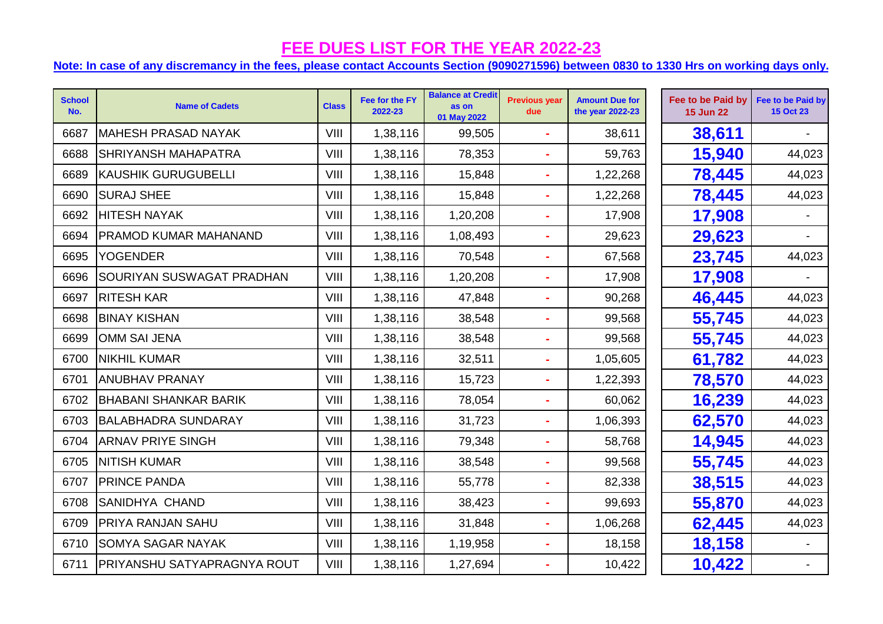| <b>School</b><br>No. | <b>Name of Cadets</b>              | <b>Class</b> | Fee for the FY<br>2022-23 | <b>Balance at Credit</b><br>as on<br>01 May 2022 | <b>Previous year</b><br>due | <b>Amount Due for</b><br>the year 2022-23 | Fee to be Paid by<br><b>15 Jun 22</b> | Fee to be Paid by<br><b>15 Oct 23</b> |
|----------------------|------------------------------------|--------------|---------------------------|--------------------------------------------------|-----------------------------|-------------------------------------------|---------------------------------------|---------------------------------------|
| 6687                 | <b>MAHESH PRASAD NAYAK</b>         | VIII         | 1,38,116                  | 99,505                                           |                             | 38,611                                    | 38,611                                |                                       |
| 6688                 | <b>SHRIYANSH MAHAPATRA</b>         | VIII         | 1,38,116                  | 78,353                                           |                             | 59,763                                    | 15,940                                | 44,023                                |
| 6689                 | <b>KAUSHIK GURUGUBELLI</b>         | VIII         | 1,38,116                  | 15,848                                           | $\blacksquare$              | 1,22,268                                  | 78,445                                | 44,023                                |
| 6690                 | <b>SURAJ SHEE</b>                  | VIII         | 1,38,116                  | 15,848                                           |                             | 1,22,268                                  | 78,445                                | 44,023                                |
| 6692                 | <b>HITESH NAYAK</b>                | VIII         | 1,38,116                  | 1,20,208                                         |                             | 17,908                                    | 17,908                                |                                       |
| 6694                 | <b>PRAMOD KUMAR MAHANAND</b>       | VIII         | 1,38,116                  | 1,08,493                                         |                             | 29,623                                    | 29,623                                |                                       |
| 6695                 | <b>YOGENDER</b>                    | VIII         | 1,38,116                  | 70,548                                           |                             | 67,568                                    | 23,745                                | 44,023                                |
| 6696                 | SOURIYAN SUSWAGAT PRADHAN          | VIII         | 1,38,116                  | 1,20,208                                         |                             | 17,908                                    | 17,908                                |                                       |
| 6697                 | <b>RITESH KAR</b>                  | VIII         | 1,38,116                  | 47,848                                           |                             | 90,268                                    | 46,445                                | 44,023                                |
| 6698                 | <b>BINAY KISHAN</b>                | VIII         | 1,38,116                  | 38,548                                           |                             | 99,568                                    | 55,745                                | 44,023                                |
| 6699                 | OMM SAI JENA                       | VIII         | 1,38,116                  | 38,548                                           |                             | 99,568                                    | 55,745                                | 44,023                                |
| 6700                 | <b>NIKHIL KUMAR</b>                | VIII         | 1,38,116                  | 32,511                                           |                             | 1,05,605                                  | 61,782                                | 44,023                                |
| 6701                 | <b>ANUBHAV PRANAY</b>              | VIII         | 1,38,116                  | 15,723                                           |                             | 1,22,393                                  | 78,570                                | 44,023                                |
| 6702                 | <b>BHABANI SHANKAR BARIK</b>       | VIII         | 1,38,116                  | 78,054                                           |                             | 60,062                                    | 16,239                                | 44,023                                |
| 6703                 | <b>BALABHADRA SUNDARAY</b>         | VIII         | 1,38,116                  | 31,723                                           |                             | 1,06,393                                  | 62,570                                | 44,023                                |
| 6704                 | <b>ARNAV PRIYE SINGH</b>           | VIII         | 1,38,116                  | 79,348                                           | $\overline{\phantom{a}}$    | 58,768                                    | 14,945                                | 44,023                                |
| 6705                 | <b>NITISH KUMAR</b>                | VIII         | 1,38,116                  | 38,548                                           |                             | 99,568                                    | 55,745                                | 44,023                                |
| 6707                 | <b>PRINCE PANDA</b>                | VIII         | 1,38,116                  | 55,778                                           |                             | 82,338                                    | 38,515                                | 44,023                                |
| 6708                 | <b>SANIDHYA CHAND</b>              | VIII         | 1,38,116                  | 38,423                                           | $\blacksquare$              | 99,693                                    | 55,870                                | 44,023                                |
| 6709                 | <b>PRIYA RANJAN SAHU</b>           | VIII         | 1,38,116                  | 31,848                                           |                             | 1,06,268                                  | 62,445                                | 44,023                                |
| 6710                 | <b>SOMYA SAGAR NAYAK</b>           | VIII         | 1,38,116                  | 1,19,958                                         |                             | 18,158                                    | 18,158                                |                                       |
| 6711                 | <b>PRIYANSHU SATYAPRAGNYA ROUT</b> | VIII         | 1,38,116                  | 1,27,694                                         |                             | 10,422                                    | 10,422                                |                                       |